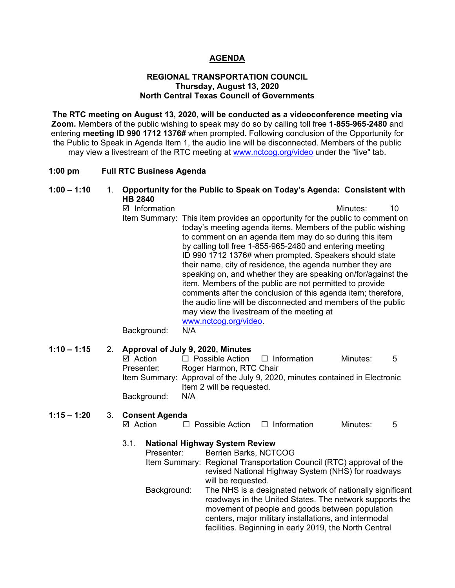### **AGENDA**

#### **REGIONAL TRANSPORTATION COUNCIL Thursday, August 13, 2020 North Central Texas Council of Governments**

**The RTC meeting on August 13, 2020, will be conducted as a videoconference meeting via Zoom.** Members of the public wishing to speak may do so by calling toll free **1-855-965-2480** and entering **meeting ID 990 1712 1376#** when prompted. Following conclusion of the Opportunity for the Public to Speak in Agenda Item 1, the audio line will be disconnected. Members of the public may view a livestream of the RTC meeting at [www.nctcog.org/video](http://www.nctcog.org/video) under the "live" tab.

#### **1:00 pm Full RTC Business Agenda**

### **1:00 – 1:10** 1. **Opportunity for the Public to Speak on Today's Agenda: Consistent with HB 2840**

 $\boxtimes$  Information and a set of the matrice of the Minutes: 10 Item Summary: This item provides an opportunity for the public to comment on today's meeting agenda items. Members of the public wishing to comment on an agenda item may do so during this item by calling toll free 1-855-965-2480 and entering meeting ID 990 1712 1376# when prompted. Speakers should state their name, city of residence, the agenda number they are speaking on, and whether they are speaking on/for/against the item. Members of the public are not permitted to provide comments after the conclusion of this agenda item; therefore, the audio line will be disconnected and members of the public may view the livestream of the meeting at [www.nctcog.org/video.](http://www.nctcog.org/video)<br>N/A

Background:

### **1:10 – 1:15** 2. **Approval of July 9, 2020, Minutes**

| ⊠ Action    | $\Box$ Possible Action $\Box$ Information |                                                                             | Minutes: | - 5 |
|-------------|-------------------------------------------|-----------------------------------------------------------------------------|----------|-----|
| Presenter:  | Roger Harmon, RTC Chair                   |                                                                             |          |     |
|             |                                           | Item Summary: Approval of the July 9, 2020, minutes contained in Electronic |          |     |
|             | Item 2 will be requested.                 |                                                                             |          |     |
| Background: | N/A                                       |                                                                             |          |     |

# **1:15 – 1:20** 3. **Consent Agenda**

| ⊠ Action<br>$\Box$ Information<br>$\Box$ Possible Action<br>Minutes: |  |
|----------------------------------------------------------------------|--|
|----------------------------------------------------------------------|--|

### 3.1. **National Highway System Review**

| Presenter:  | Berrien Barks, NCTCOG                                                                                                                                                                                                                                                                      |
|-------------|--------------------------------------------------------------------------------------------------------------------------------------------------------------------------------------------------------------------------------------------------------------------------------------------|
|             | Item Summary: Regional Transportation Council (RTC) approval of the<br>revised National Highway System (NHS) for roadways<br>will be requested.                                                                                                                                            |
| Background: | The NHS is a designated network of nationally significant<br>roadways in the United States. The network supports the<br>movement of people and goods between population<br>centers, major military installations, and intermodal<br>facilities. Beginning in early 2019, the North Central |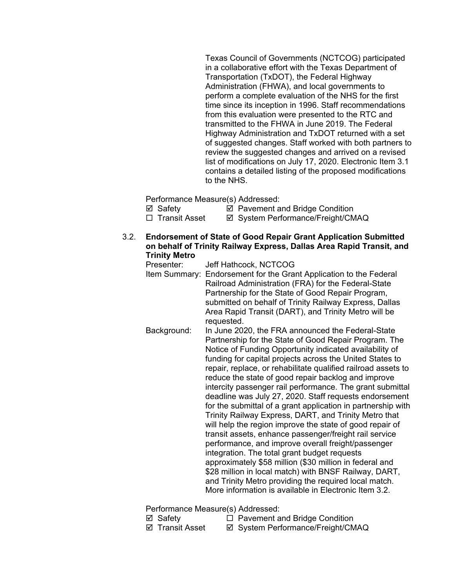Texas Council of Governments (NCTCOG) participated in a collaborative effort with the Texas Department of Transportation (TxDOT), the Federal Highway Administration (FHWA), and local governments to perform a complete evaluation of the NHS for the first time since its inception in 1996. Staff recommendations from this evaluation were presented to the RTC and transmitted to the FHWA in June 2019. The Federal Highway Administration and TxDOT returned with a set of suggested changes. Staff worked with both partners to review the suggested changes and arrived on a revised list of modifications on July 17, 2020. Electronic Item 3.1 contains a detailed listing of the proposed modifications to the NHS.

Performance Measure(s) Addressed:

<p>✓ Safety</p>\n<p>✓ Payment and Bridge Condition</p>\n<p>□ Transit Asset</p>\n<p>✓ System Performance/Freicht/CM</p> **Ø System Performance/Freight/CMAQ** 

- 3.2. **Endorsement of State of Good Repair Grant Application Submitted on behalf of Trinity Railway Express, Dallas Area Rapid Transit, and Trinity Metro**
	- Presenter: Jeff Hathcock, NCTCOG Item Summary: Endorsement for the Grant Application to the Federal Railroad Administration (FRA) for the Federal-State Partnership for the State of Good Repair Program, submitted on behalf of Trinity Railway Express, Dallas Area Rapid Transit (DART), and Trinity Metro will be requested.
	- Background: In June 2020, the FRA announced the Federal-State Partnership for the State of Good Repair Program. The Notice of Funding Opportunity indicated availability of funding for capital projects across the United States to repair, replace, or rehabilitate qualified railroad assets to reduce the state of good repair backlog and improve intercity passenger rail performance. The grant submittal deadline was July 27, 2020. Staff requests endorsement for the submittal of a grant application in partnership with Trinity Railway Express, DART, and Trinity Metro that will help the region improve the state of good repair of transit assets, enhance passenger/freight rail service performance, and improve overall freight/passenger integration. The total grant budget requests approximately \$58 million (\$30 million in federal and \$28 million in local match) with BNSF Railway, DART, and Trinity Metro providing the required local match. More information is available in Electronic Item 3.2.

Performance Measure(s) Addressed:

- 
- $\boxtimes$  Safety  $\Box$  Pavement and Bridge Condition
- 
- ⊠ Transit Asset **II System Performance/Freight/CMAQ**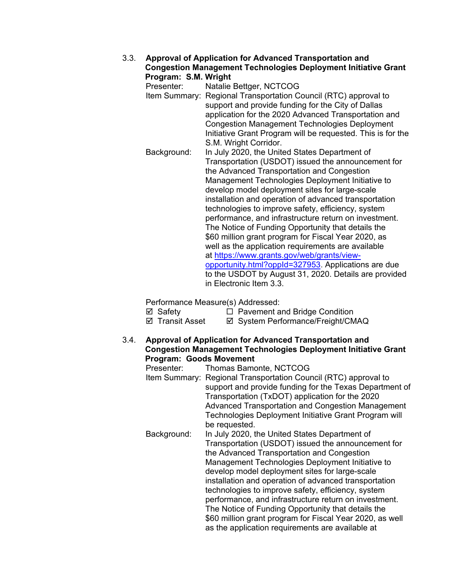# 3.3. **Approval of Application for Advanced Transportation and Congestion Management Technologies Deployment Initiative Grant**

**Program: S.M. Wright** Natalie Bettger, NCTCOG Item Summary: Regional Transportation Council (RTC) approval to support and provide funding for the City of Dallas application for the 2020 Advanced Transportation and Congestion Management Technologies Deployment Initiative Grant Program will be requested. This is for the S.M. Wright Corridor. Background: In July 2020, the United States Department of Transportation (USDOT) issued the announcement for the Advanced Transportation and Congestion Management Technologies Deployment Initiative to develop model deployment sites for large-scale installation and operation of advanced transportation technologies to improve safety, efficiency, system performance, and infrastructure return on investment. The Notice of Funding Opportunity that details the \$60 million grant program for Fiscal Year 2020, as well as the application requirements are available at [https://www.grants.gov/web/grants/view](https://www.grants.gov/web/grants/view-opportunity.html?oppId=327953)[opportunity.html?oppId=327953.](https://www.grants.gov/web/grants/view-opportunity.html?oppId=327953) Applications are due to the USDOT by August 31, 2020. Details are provided in Electronic Item 3.3.

Performance Measure(s) Addressed:

 $\boxtimes$  Safety  $\Box$  Pavement and Bridge Condition

⊠ Transit Asset **II System Performance/Freight/CMAQ** 

### 3.4. **Approval of Application for Advanced Transportation and Congestion Management Technologies Deployment Initiative Grant Program: Goods Movement**

| Presenter:  | Thomas Bamonte, NCTCOG                                          |
|-------------|-----------------------------------------------------------------|
|             | Item Summary: Regional Transportation Council (RTC) approval to |
|             | support and provide funding for the Texas Department of         |
|             | Transportation (TxDOT) application for the 2020                 |
|             | Advanced Transportation and Congestion Management               |
|             | Technologies Deployment Initiative Grant Program will           |
|             | be requested.                                                   |
| Background: | In July 2020, the United States Department of                   |
|             | Transportation (USDOT) issued the announcement for              |
|             | the Advanced Transportation and Congestion                      |
|             | Management Technologies Deployment Initiative to                |
|             | develop model deployment sites for large-scale                  |
|             | installation and operation of advanced transportation           |
|             | technologies to improve safety, efficiency, system              |
|             | performance, and infrastructure return on investment.           |
|             | The Notice of Funding Opportunity that details the              |
|             | \$60 million grant program for Fiscal Year 2020, as well        |
|             | as the application requirements are available at                |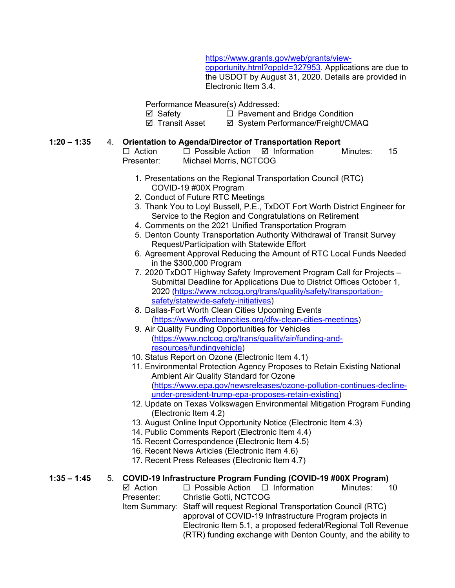[https://www.grants.gov/web/grants/view-](https://www.grants.gov/web/grants/view-opportunity.html?oppId=327953)

[opportunity.html?oppId=327953.](https://www.grants.gov/web/grants/view-opportunity.html?oppId=327953) Applications are due to the USDOT by August 31, 2020. Details are provided in Electronic Item 3.4.

Performance Measure(s) Addressed:

<p>✓ Safety</p>\n<p>□ Pavement and Bridge Condition</p>\n<p>✓ Transit Asset</p>\n<p>✓ System Performance/Freiah/CN</p>

⊠ System Performance/Freight/CMAQ

### **1:20 – 1:35** 4. **Orientation to Agenda/Director of Transportation Report**

# $\Box$  Action  $\Box$  Possible Action  $\Box$  Information Minutes: 15

- Presenter: Michael Morris, NCTCOG
	- 1. Presentations on the Regional Transportation Council (RTC) COVID-19 #00X Program
	- 2. Conduct of Future RTC Meetings
	- 3. Thank You to Loyl Bussell, P.E., TxDOT Fort Worth District Engineer for Service to the Region and Congratulations on Retirement
	- 4. Comments on the 2021 Unified Transportation Program
	- 5. Denton County Transportation Authority Withdrawal of Transit Survey Request/Participation with Statewide Effort
	- 6. Agreement Approval Reducing the Amount of RTC Local Funds Needed in the \$300,000 Program
	- 7. 2020 TxDOT Highway Safety Improvement Program Call for Projects Submittal Deadline for Applications Due to District Offices October 1, 2020 [\(https://www.nctcog.org/trans/quality/safety/transportation](https://gcc01.safelinks.protection.outlook.com/?url=https%3A%2F%2Fwww.nctcog.org%2Ftrans%2Fquality%2Fsafety%2Ftransportation-safety%2Fstatewide-safety-initiatives&data=02%7C01%7CALeger%40nctcog.org%7C32e4e013833e4ab8de4b08d839419c81%7C2f5e7ebc22b04fbe934caabddb4e29b1%7C0%7C0%7C637322301242181876&sdata=iNTPvRZDFAvdWQKf%2Bwh65edWpA5leqTRjjTX3uFy32U%3D&reserved=0)[safety/statewide-safety-initiatives\)](https://gcc01.safelinks.protection.outlook.com/?url=https%3A%2F%2Fwww.nctcog.org%2Ftrans%2Fquality%2Fsafety%2Ftransportation-safety%2Fstatewide-safety-initiatives&data=02%7C01%7CALeger%40nctcog.org%7C32e4e013833e4ab8de4b08d839419c81%7C2f5e7ebc22b04fbe934caabddb4e29b1%7C0%7C0%7C637322301242181876&sdata=iNTPvRZDFAvdWQKf%2Bwh65edWpA5leqTRjjTX3uFy32U%3D&reserved=0)
	- 8. Dallas-Fort Worth Clean Cities Upcoming Events [\(https://www.dfwcleancities.org/dfw-clean-cities-meetings\)](https://www.dfwcleancities.org/dfw-clean-cities-meetings)
	- 9. Air Quality Funding Opportunities for Vehicles [\(https://www.nctcog.org/trans/quality/air/funding-and](https://www.nctcog.org/trans/quality/air/funding-and-resources/fundingvehicle)[resources/fundingvehicle\)](https://www.nctcog.org/trans/quality/air/funding-and-resources/fundingvehicle)
	- 10. Status Report on Ozone (Electronic Item 4.1)
	- 11. Environmental Protection Agency Proposes to Retain Existing National Ambient Air Quality Standard for Ozone [\(https://www.epa.gov/newsreleases/ozone-pollution-continues-decline](https://www.epa.gov/newsreleases/ozone-pollution-continues-decline-under-president-trump-epa-proposes-retain-existing)[under-president-trump-epa-proposes-retain-existing\)](https://www.epa.gov/newsreleases/ozone-pollution-continues-decline-under-president-trump-epa-proposes-retain-existing)
	- 12. Update on Texas Volkswagen Environmental Mitigation Program Funding (Electronic Item 4.2)
	- 13. August Online Input Opportunity Notice (Electronic Item 4.3)
	- 14. Public Comments Report (Electronic Item 4.4)
	- 15. Recent Correspondence (Electronic Item 4.5)
	- 16. Recent News Articles (Electronic Item 4.6)
	- 17. Recent Press Releases (Electronic Item 4.7)

# **1:35 – 1:45** 5. **COVID-19 Infrastructure Program Funding (COVID-19 #00X Program)**

 $\Box$  Possible Action  $\Box$  Information Minutes: 10 Presenter: Christie Gotti, NCTCOG

Item Summary: Staff will request Regional Transportation Council (RTC) approval of COVID-19 Infrastructure Program projects in Electronic Item 5.1, a proposed federal/Regional Toll Revenue (RTR) funding exchange with Denton County, and the ability to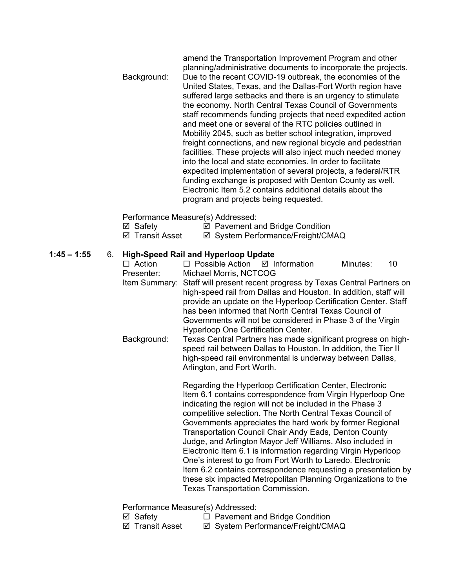|             | amend the Transportation Improvement Program and other<br>planning/administrative documents to incorporate the projects.                                                                                                                                                                                                                                                                                                                                                                                                                                                                                                                                                                                                                                                                                                                                                     |
|-------------|------------------------------------------------------------------------------------------------------------------------------------------------------------------------------------------------------------------------------------------------------------------------------------------------------------------------------------------------------------------------------------------------------------------------------------------------------------------------------------------------------------------------------------------------------------------------------------------------------------------------------------------------------------------------------------------------------------------------------------------------------------------------------------------------------------------------------------------------------------------------------|
| Background: | Due to the recent COVID-19 outbreak, the economies of the<br>United States, Texas, and the Dallas-Fort Worth region have<br>suffered large setbacks and there is an urgency to stimulate<br>the economy. North Central Texas Council of Governments<br>staff recommends funding projects that need expedited action<br>and meet one or several of the RTC policies outlined in<br>Mobility 2045, such as better school integration, improved<br>freight connections, and new regional bicycle and pedestrian<br>facilities. These projects will also inject much needed money<br>into the local and state economies. In order to facilitate<br>expedited implementation of several projects, a federal/RTR<br>funding exchange is proposed with Denton County as well.<br>Electronic Item 5.2 contains additional details about the<br>program and projects being requested. |
|             |                                                                                                                                                                                                                                                                                                                                                                                                                                                                                                                                                                                                                                                                                                                                                                                                                                                                              |

Performance Measure(s) Addressed:

- <p>✓ Safety</p>\n<p>✓ Payment and Bridge Condition</p>\n<p>✓ Transform</p>\n<p>✓ System Performance/Freicht/CM</p>
- ⊠ System Performance/Freight/CMAQ

# **1:45 – 1:55** 6. **High-Speed Rail and Hyperloop Update**

 $\Box$  Possible Action  $\Box$  Information Minutes: 10 Presenter: Michael Morris, NCTCOG Item Summary: Staff will present recent progress by Texas Central Partners on high-speed rail from Dallas and Houston. In addition, staff will provide an update on the Hyperloop Certification Center. Staff has been informed that North Central Texas Council of Governments will not be considered in Phase 3 of the Virgin Hyperloop One Certification Center. Background: Texas Central Partners has made significant progress on highspeed rail between Dallas to Houston. In addition, the Tier II high-speed rail environmental is underway between Dallas, Arlington, and Fort Worth.

> Regarding the Hyperloop Certification Center, Electronic Item 6.1 contains correspondence from Virgin Hyperloop One indicating the region will not be included in the Phase 3 competitive selection. The North Central Texas Council of Governments appreciates the hard work by former Regional Transportation Council Chair Andy Eads, Denton County Judge, and Arlington Mayor Jeff Williams. Also included in Electronic Item 6.1 is information regarding Virgin Hyperloop One's interest to go from Fort Worth to Laredo. Electronic Item 6.2 contains correspondence requesting a presentation by these six impacted Metropolitan Planning Organizations to the Texas Transportation Commission.

Performance Measure(s) Addressed:

 $\boxtimes$  Safety  $\Box$  Pavement and Bridge Condition

⊠ Transit Asset **II System Performance/Freight/CMAQ**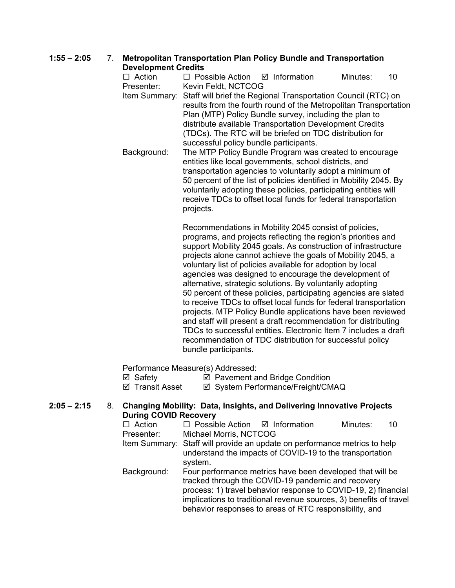## **1:55 – 2:05** 7. **Metropolitan Transportation Plan Policy Bundle and Transportation Development Credits**

 $\Box$  Action  $\Box$  Possible Action  $\Box$  Information Minutes: 10 Presenter: Kevin Feldt, NCTCOG Item Summary: Staff will brief the Regional Transportation Council (RTC) on results from the fourth round of the Metropolitan Transportation Plan (MTP) Policy Bundle survey, including the plan to distribute available Transportation Development Credits (TDCs). The RTC will be briefed on TDC distribution for successful policy bundle participants.

Background: The MTP Policy Bundle Program was created to encourage entities like local governments, school districts, and transportation agencies to voluntarily adopt a minimum of 50 percent of the list of policies identified in Mobility 2045. By voluntarily adopting these policies, participating entities will receive TDCs to offset local funds for federal transportation projects.

> Recommendations in Mobility 2045 consist of policies, programs, and projects reflecting the region's priorities and support Mobility 2045 goals. As construction of infrastructure projects alone cannot achieve the goals of Mobility 2045, a voluntary list of policies available for adoption by local agencies was designed to encourage the development of alternative, strategic solutions. By voluntarily adopting 50 percent of these policies, participating agencies are slated to receive TDCs to offset local funds for federal transportation projects. MTP Policy Bundle applications have been reviewed and staff will present a draft recommendation for distributing TDCs to successful entities. Electronic Item 7 includes a draft recommendation of TDC distribution for successful policy bundle participants.

Performance Measure(s) Addressed:

 $\boxtimes$  Safety  $\boxtimes$  Pavement and Bridge Condition

⊠ Transit Asset **II System Performance/Freight/CMAQ** 

## **2:05 – 2:15** 8. **Changing Mobility: Data, Insights, and Delivering Innovative Projects During COVID Recovery**

| $\Box$ Action | $\Box$ Possible Action $\Box$ Information                                 |  | Minutes: | 10 |
|---------------|---------------------------------------------------------------------------|--|----------|----|
| Presenter:    | Michael Morris, NCTCOG                                                    |  |          |    |
|               | Item Summary: Staff will provide an update on performance metrics to help |  |          |    |
|               | understand the impacts of COVID-19 to the transportation                  |  |          |    |
|               | system.                                                                   |  |          |    |
| Background:   | Four performance metrics have been developed that will be                 |  |          |    |
|               | tracked through the COVID-19 pandemic and recovery                        |  |          |    |
|               | process: 1) travel behavior response to COVID-19, 2) financial            |  |          |    |
|               | implications to traditional revenue sources, 3) benefits of travel        |  |          |    |

behavior responses to areas of RTC responsibility, and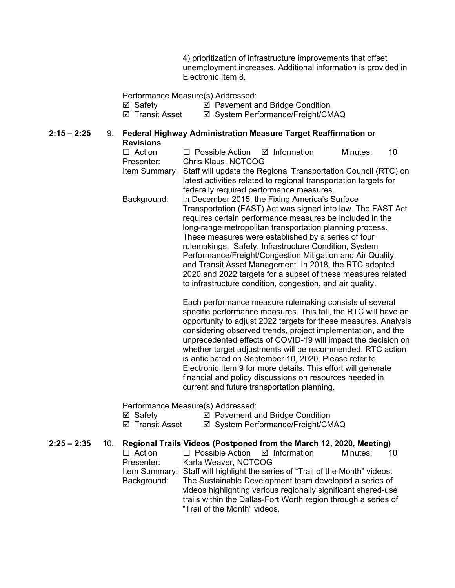4) prioritization of infrastructure improvements that offset unemployment increases. Additional information is provided in Electronic Item 8.

Performance Measure(s) Addressed:

Safety Pavement and Bridge Condition

⊠ System Performance/Freight/CMAQ

### **2:15 – 2:25** 9. **Federal Highway Administration Measure Target Reaffirmation or**

**Revisions**<br>□ Action

| $\Box$ Action |                                                                              |  | Minutes: | 10 |
|---------------|------------------------------------------------------------------------------|--|----------|----|
| Presenter:    | Chris Klaus, NCTCOG                                                          |  |          |    |
|               | Item Summary: Staff will update the Regional Transportation Council (RTC) on |  |          |    |
|               | latest activities related to regional transportation targets for             |  |          |    |
|               | federally required performance measures.                                     |  |          |    |
| Background:   | In December 2015, the Fixing America's Surface                               |  |          |    |
|               | Transportation (FAST) Act was signed into law. The FAST Act                  |  |          |    |
|               | requires certain performance measures be included in the                     |  |          |    |
|               | long-range metropolitan transportation planning process.                     |  |          |    |
|               | These measures were established by a series of four                          |  |          |    |
|               | rulemakings: Safety, Infrastructure Condition, System                        |  |          |    |
|               | Performance/Freight/Congestion Mitigation and Air Quality,                   |  |          |    |
|               | and Transit Asset Management. In 2018, the RTC adopted                       |  |          |    |
|               | 2020 and 2022 targets for a subset of these measures related                 |  |          |    |
|               | to infrastructure condition, congestion, and air quality.                    |  |          |    |
|               |                                                                              |  |          |    |
|               |                                                                              |  |          |    |

Each performance measure rulemaking consists of several specific performance measures. This fall, the RTC will have an opportunity to adjust 2022 targets for these measures. Analysis considering observed trends, project implementation, and the unprecedented effects of COVID-19 will impact the decision on whether target adjustments will be recommended. RTC action is anticipated on September 10, 2020. Please refer to Electronic Item 9 for more details. This effort will generate financial and policy discussions on resources needed in current and future transportation planning.

Performance Measure(s) Addressed:

| ⊠ Safety | ☑ Pavement and Bridge Condition |
|----------|---------------------------------|
|----------|---------------------------------|

⊠ Transit Asset <br> **Ø System Performance/Freight/CMAQ** 

# **2:25 – 2:35** 10. **Regional Trails Videos (Postponed from the March 12, 2020, Meeting)**

 $\Box$  Action  $\Box$  Possible Action  $\Box$  Information Presenter: Karla Weaver, NCTCOG Karla Weaver, NCTCOG Item Summary: Staff will highlight the series of "Trail of the Month" videos. Background: The Sustainable Development team developed a series of videos highlighting various regionally significant shared-use trails within the Dallas-Fort Worth region through a series of "Trail of the Month" videos.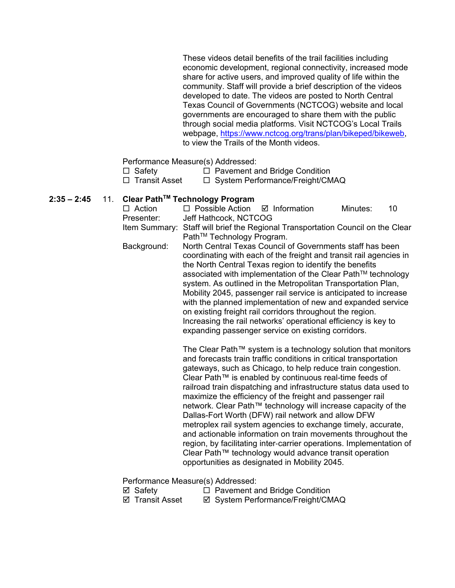These videos detail benefits of the trail facilities including economic development, regional connectivity, increased mode share for active users, and improved quality of life within the community. Staff will provide a brief description of the videos developed to date. The videos are posted to North Central Texas Council of Governments (NCTCOG) website and local governments are encouraged to share them with the public through social media platforms. Visit NCTCOG's Local Trails webpage, [https://www.nctcog.org/trans/plan/bikeped/bikeweb,](https://www.nctcog.org/trans/plan/bikeped/bikeweb) to view the Trails of the Month videos.

Performance Measure(s) Addressed:

- $\Box$  Safety  $\Box$  Pavement and Bridge Condition
- $\Box$  Transit Asset  $\Box$  System Performance/Freight/CMAQ

## **2:35 – 2:45** 11. **Clear PathTM Technology Program**

| $\Box$ Action | $\Box$ Possible Action $\Box$ Information                                       | Minutes: | 10 |
|---------------|---------------------------------------------------------------------------------|----------|----|
| Presenter:    | Jeff Hathcock, NCTCOG                                                           |          |    |
|               | Item Summary: Staff will brief the Regional Transportation Council on the Clear |          |    |
|               | Path <sup>™</sup> Technology Program.                                           |          |    |

Background: North Central Texas Council of Governments staff has been coordinating with each of the freight and transit rail agencies in the North Central Texas region to identify the benefits associated with implementation of the Clear Path™ technology system. As outlined in the Metropolitan Transportation Plan, Mobility 2045, passenger rail service is anticipated to increase with the planned implementation of new and expanded service on existing freight rail corridors throughout the region. Increasing the rail networks' operational efficiency is key to expanding passenger service on existing corridors.

> The Clear Path™ system is a technology solution that monitors and forecasts train traffic conditions in critical transportation gateways, such as Chicago, to help reduce train congestion. Clear Path™ is enabled by continuous real-time feeds of railroad train dispatching and infrastructure status data used to maximize the efficiency of the freight and passenger rail network. Clear Path™ technology will increase capacity of the Dallas-Fort Worth (DFW) rail network and allow DFW metroplex rail system agencies to exchange timely, accurate, and actionable information on train movements throughout the region, by facilitating inter‐carrier operations. Implementation of Clear Path™ technology would advance transit operation opportunities as designated in Mobility 2045.

Performance Measure(s) Addressed:

- 
- $\boxtimes$  Safety  $\Box$  Pavement and Bridge Condition
- ⊠ Transit Asset ⊠ System Performance/Freight/CMAQ